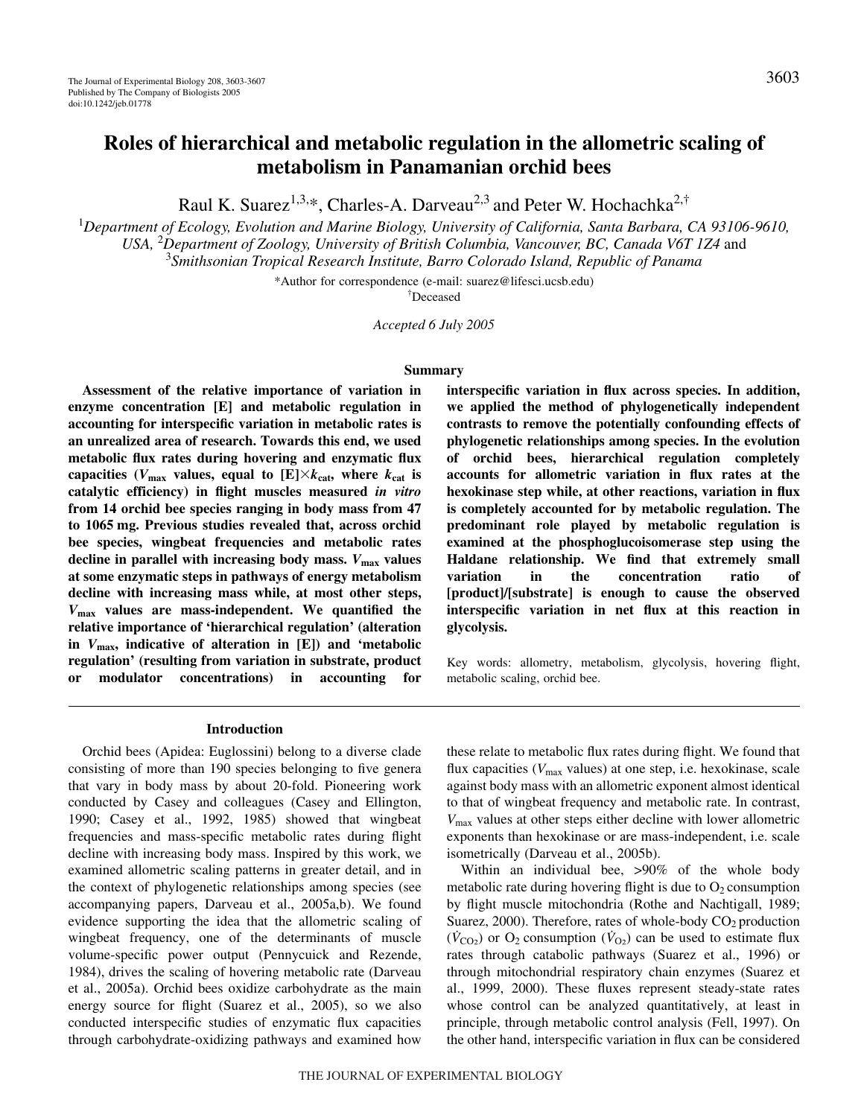# **Roles of hierarchical and metabolic regulation in the allometric scaling of metabolism in Panamanian orchid bees**

Raul K. Suarez<sup>1,3,\*</sup>, Charles-A. Darveau<sup>2,3</sup> and Peter W. Hochachka<sup>2,†</sup>

1 *Department of Ecology, Evolution and Marine Biology, University of California, Santa Barbara, CA 93106-9610, USA,* <sup>2</sup> *Department of Zoology, University of British Columbia, Vancouver, BC, Canada V6T 1Z4* and 3 *Smithsonian Tropical Research Institute, Barro Colorado Island, Republic of Panama*

\*Author for correspondence (e-mail: suarez@lifesci.ucsb.edu)

† Deceased

*Accepted 6 July 2005*

#### **Summary**

**Assessment of the relative importance of variation in enzyme concentration [E] and metabolic regulation in accounting for interspecific variation in metabolic rates is an unrealized area of research. Towards this end, we used metabolic flux rates during hovering and enzymatic flux** capacities ( $V_{\text{max}}$  values, equal to [E] $\times k_{\text{cat}}$ , where  $k_{\text{cat}}$  is **catalytic efficiency) in flight muscles measured** *in vitro* **from 14 orchid bee species ranging in body mass from 47 to 1065·mg. Previous studies revealed that, across orchid bee species, wingbeat frequencies and metabolic rates** decline in parallel with increasing body mass.  $V_{\text{max}}$  values **at some enzymatic steps in pathways of energy metabolism decline with increasing mass while, at most other steps,** *V***max values are mass-independent. We quantified the relative importance of 'hierarchical regulation' (alteration** in  $V_{\text{max}}$ , indicative of alteration in [E]) and 'metabolic **regulation' (resulting from variation in substrate, product or modulator concentrations) in accounting for** **interspecific variation in flux across species. In addition, we applied the method of phylogenetically independent contrasts to remove the potentially confounding effects of phylogenetic relationships among species. In the evolution of orchid bees, hierarchical regulation completely accounts for allometric variation in flux rates at the hexokinase step while, at other reactions, variation in flux is completely accounted for by metabolic regulation. The predominant role played by metabolic regulation is examined at the phosphoglucoisomerase step using the Haldane relationship. We find that extremely small variation in the concentration ratio of [product]/[substrate] is enough to cause the observed interspecific variation in net flux at this reaction in glycolysis.**

Key words: allometry, metabolism, glycolysis, hovering flight, metabolic scaling, orchid bee.

# **Introduction**

Orchid bees (Apidea: Euglossini) belong to a diverse clade consisting of more than 190 species belonging to five genera that vary in body mass by about 20-fold. Pioneering work conducted by Casey and colleagues (Casey and Ellington, 1990; Casey et al., 1992, 1985) showed that wingbeat frequencies and mass-specific metabolic rates during flight decline with increasing body mass. Inspired by this work, we examined allometric scaling patterns in greater detail, and in the context of phylogenetic relationships among species (see accompanying papers, Darveau et al., 2005a,b). We found evidence supporting the idea that the allometric scaling of wingbeat frequency, one of the determinants of muscle volume-specific power output (Pennycuick and Rezende, 1984), drives the scaling of hovering metabolic rate (Darveau et al., 2005a). Orchid bees oxidize carbohydrate as the main energy source for flight (Suarez et al., 2005), so we also conducted interspecific studies of enzymatic flux capacities through carbohydrate-oxidizing pathways and examined how

these relate to metabolic flux rates during flight. We found that flux capacities ( $V_{\text{max}}$  values) at one step, i.e. hexokinase, scale against body mass with an allometric exponent almost identical to that of wingbeat frequency and metabolic rate. In contrast, *V*max values at other steps either decline with lower allometric exponents than hexokinase or are mass-independent, i.e. scale isometrically (Darveau et al., 2005b).

Within an individual bee, >90% of the whole body metabolic rate during hovering flight is due to  $O_2$  consumption by flight muscle mitochondria (Rothe and Nachtigall, 1989; Suarez, 2000). Therefore, rates of whole-body  $CO<sub>2</sub>$  production  $(\dot{V}_{\text{CO}_2})$  or  $\text{O}_2$  consumption  $(\dot{V}_{\text{O}_2})$  can be used to estimate flux rates through catabolic pathways (Suarez et al., 1996) or through mitochondrial respiratory chain enzymes (Suarez et al., 1999, 2000). These fluxes represent steady-state rates whose control can be analyzed quantitatively, at least in principle, through metabolic control analysis (Fell, 1997). On the other hand, interspecific variation in flux can be considered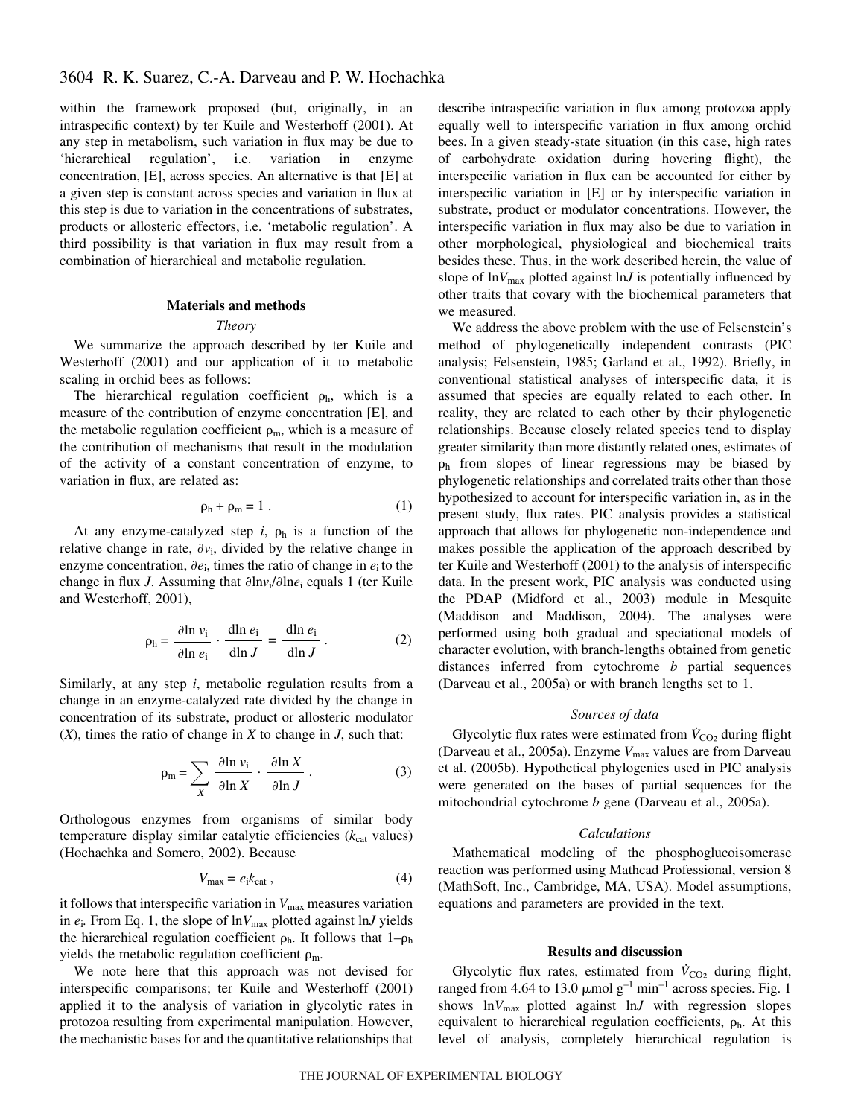within the framework proposed (but, originally, in an intraspecific context) by ter Kuile and Westerhoff (2001). At any step in metabolism, such variation in flux may be due to 'hierarchical regulation', i.e. variation in enzyme concentration, [E], across species. An alternative is that [E] at a given step is constant across species and variation in flux at this step is due to variation in the concentrations of substrates, products or allosteric effectors, i.e. 'metabolic regulation'. A third possibility is that variation in flux may result from a combination of hierarchical and metabolic regulation.

# **Materials and methods**

#### *Theory*

We summarize the approach described by ter Kuile and Westerhoff (2001) and our application of it to metabolic scaling in orchid bees as follows:

The hierarchical regulation coefficient  $\rho_h$ , which is a measure of the contribution of enzyme concentration [E], and the metabolic regulation coefficient  $\rho_m$ , which is a measure of the contribution of mechanisms that result in the modulation of the activity of a constant concentration of enzyme, to variation in flux, are related as:

$$
\rho_h + \rho_m = 1 \tag{1}
$$

At any enzyme-catalyzed step  $i$ ,  $\rho_h$  is a function of the relative change in rate,  $\partial v_i$ , divided by the relative change in enzyme concentration,  $\partial e_i$ , times the ratio of change in  $e_i$  to the change in flux *J*. Assuming that  $\partial \text{ln}v_i / \partial \text{ln}e_i$  equals 1 (ter Kuile and Westerhoff, 2001),

$$
\rho_{\rm h} = \frac{\partial \ln v_{\rm i}}{\partial \ln e_{\rm i}} \cdot \frac{\text{d} \ln e_{\rm i}}{\text{d} \ln J} = \frac{\text{d} \ln e_{\rm i}}{\text{d} \ln J} \,. \tag{2}
$$

Similarly, at any step *i*, metabolic regulation results from a change in an enzyme-catalyzed rate divided by the change in concentration of its substrate, product or allosteric modulator (*X*), times the ratio of change in *X* to change in *J*, such that:

$$
\rho_{\rm m} = \sum_{X} \frac{\partial \ln v_{\rm i}}{\partial \ln X} \cdot \frac{\partial \ln X}{\partial \ln J} \,. \tag{3}
$$

Orthologous enzymes from organisms of similar body temperature display similar catalytic efficiencies ( $k_{cat}$  values) (Hochachka and Somero, 2002). Because

$$
V_{\text{max}} = e_i k_{\text{cat}} \,, \tag{4}
$$

it follows that interspecific variation in  $V_{\text{max}}$  measures variation in  $e_i$ . From Eq. 1, the slope of  $\ln V_{\text{max}}$  plotted against  $\ln J$  yields the hierarchical regulation coefficient  $\rho_h$ . It follows that  $1-\rho_h$ yields the metabolic regulation coefficient  $\rho_m$ .

We note here that this approach was not devised for interspecific comparisons; ter Kuile and Westerhoff (2001) applied it to the analysis of variation in glycolytic rates in protozoa resulting from experimental manipulation. However, the mechanistic bases for and the quantitative relationships that describe intraspecific variation in flux among protozoa apply equally well to interspecific variation in flux among orchid bees. In a given steady-state situation (in this case, high rates of carbohydrate oxidation during hovering flight), the interspecific variation in flux can be accounted for either by interspecific variation in [E] or by interspecific variation in substrate, product or modulator concentrations. However, the interspecific variation in flux may also be due to variation in other morphological, physiological and biochemical traits besides these. Thus, in the work described herein, the value of slope of  $\ln V_{\text{max}}$  plotted against  $\ln J$  is potentially influenced by other traits that covary with the biochemical parameters that we measured.

We address the above problem with the use of Felsenstein's method of phylogenetically independent contrasts (PIC analysis; Felsenstein, 1985; Garland et al., 1992). Briefly, in conventional statistical analyses of interspecific data, it is assumed that species are equally related to each other. In reality, they are related to each other by their phylogenetic relationships. Because closely related species tend to display greater similarity than more distantly related ones, estimates of  $\rho_h$  from slopes of linear regressions may be biased by phylogenetic relationships and correlated traits other than those hypothesized to account for interspecific variation in, as in the present study, flux rates. PIC analysis provides a statistical approach that allows for phylogenetic non-independence and makes possible the application of the approach described by ter Kuile and Westerhoff (2001) to the analysis of interspecific data. In the present work, PIC analysis was conducted using the PDAP (Midford et al., 2003) module in Mesquite (Maddison and Maddison, 2004). The analyses were performed using both gradual and speciational models of character evolution, with branch-lengths obtained from genetic distances inferred from cytochrome *b* partial sequences (Darveau et al., 2005a) or with branch lengths set to 1.

# *Sources of data*

Glycolytic flux rates were estimated from  $V_{\text{CO}_2}$  during flight (Darveau et al., 2005a). Enzyme  $V_{\text{max}}$  values are from Darveau et al. (2005b). Hypothetical phylogenies used in PIC analysis were generated on the bases of partial sequences for the mitochondrial cytochrome *b* gene (Darveau et al., 2005a).

# *Calculations*

Mathematical modeling of the phosphoglucoisomerase reaction was performed using Mathcad Professional, version 8 (MathSoft, Inc., Cambridge, MA, USA). Model assumptions, equations and parameters are provided in the text.

#### **Results and discussion**

Glycolytic flux rates, estimated from  $\dot{V}_{\text{CO}_2}$  during flight, ranged from 4.64 to 13.0  $\mu$ mol g<sup>-1</sup> min<sup>-1</sup> across species. Fig. 1 shows  $lnV_{max}$  plotted against  $lnJ$  with regression slopes equivalent to hierarchical regulation coefficients,  $\rho_h$ . At this level of analysis, completely hierarchical regulation is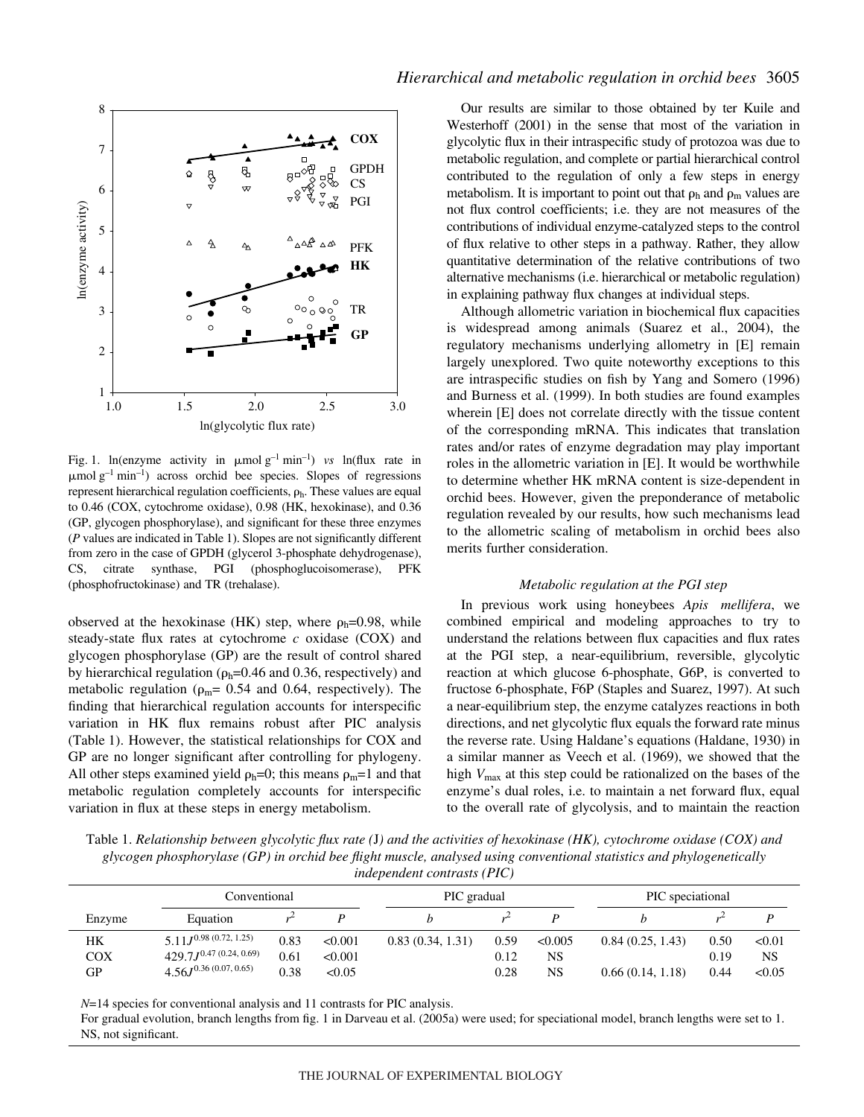

Fig. 1. ln(enzyme activity in  $\mu$ molg<sup>-1</sup> min<sup>-1</sup>) *vs* ln(flux rate in  $\mu$ mol g<sup>-1</sup> min<sup>-1</sup>) across orchid bee species. Slopes of regressions represent hierarchical regulation coefficients,  $\rho_h$ . These values are equal to 0.46 (COX, cytochrome oxidase), 0.98 (HK, hexokinase), and 0.36 (GP, glycogen phosphorylase), and significant for these three enzymes (*P* values are indicated in Table 1). Slopes are not significantly different from zero in the case of GPDH (glycerol 3-phosphate dehydrogenase), CS, citrate synthase, PGI (phosphoglucoisomerase), PFK (phosphofructokinase) and TR (trehalase).

observed at the hexokinase (HK) step, where  $\rho_h$ =0.98, while steady-state flux rates at cytochrome *c* oxidase (COX) and glycogen phosphorylase (GP) are the result of control shared by hierarchical regulation ( $\rho_h$ =0.46 and 0.36, respectively) and metabolic regulation ( $\rho_m$ = 0.54 and 0.64, respectively). The finding that hierarchical regulation accounts for interspecific variation in HK flux remains robust after PIC analysis (Table 1). However, the statistical relationships for COX and GP are no longer significant after controlling for phylogeny. All other steps examined yield  $\rho_h=0$ ; this means  $\rho_m=1$  and that metabolic regulation completely accounts for interspecific variation in flux at these steps in energy metabolism.

Our results are similar to those obtained by ter Kuile and Westerhoff (2001) in the sense that most of the variation in glycolytic flux in their intraspecific study of protozoa was due to metabolic regulation, and complete or partial hierarchical control contributed to the regulation of only a few steps in energy metabolism. It is important to point out that  $\rho_h$  and  $\rho_m$  values are not flux control coefficients; i.e. they are not measures of the contributions of individual enzyme-catalyzed steps to the control of flux relative to other steps in a pathway. Rather, they allow quantitative determination of the relative contributions of two alternative mechanisms (i.e. hierarchical or metabolic regulation) in explaining pathway flux changes at individual steps.

Although allometric variation in biochemical flux capacities is widespread among animals (Suarez et al., 2004), the regulatory mechanisms underlying allometry in [E] remain largely unexplored. Two quite noteworthy exceptions to this are intraspecific studies on fish by Yang and Somero (1996) and Burness et al. (1999). In both studies are found examples wherein [E] does not correlate directly with the tissue content of the corresponding mRNA. This indicates that translation rates and/or rates of enzyme degradation may play important roles in the allometric variation in [E]. It would be worthwhile to determine whether HK mRNA content is size-dependent in orchid bees. However, given the preponderance of metabolic regulation revealed by our results, how such mechanisms lead to the allometric scaling of metabolism in orchid bees also merits further consideration.

# *Metabolic regulation at the PGI step*

In previous work using honeybees *Apis mellifera*, we combined empirical and modeling approaches to try to understand the relations between flux capacities and flux rates at the PGI step, a near-equilibrium, reversible, glycolytic reaction at which glucose 6-phosphate, G6P, is converted to fructose 6-phosphate, F6P (Staples and Suarez, 1997). At such a near-equilibrium step, the enzyme catalyzes reactions in both directions, and net glycolytic flux equals the forward rate minus the reverse rate. Using Haldane's equations (Haldane, 1930) in a similar manner as Veech et al. (1969), we showed that the high *V*max at this step could be rationalized on the bases of the enzyme's dual roles, i.e. to maintain a net forward flux, equal to the overall rate of glycolysis, and to maintain the reaction

Table 1. *Relationship between glycolytic flux rate* (*J*) and the activities of hexokinase (HK), cytochrome oxidase (COX) and *glycogen phosphorylase (GP) in orchid bee flight muscle, analysed using conventional statistics and phylogenetically independent contrasts (PIC)*

|                        | Conventional                                                                                |                      |                              | PIC gradual      |                      |                            | PIC speciational                     |                      |                        |
|------------------------|---------------------------------------------------------------------------------------------|----------------------|------------------------------|------------------|----------------------|----------------------------|--------------------------------------|----------------------|------------------------|
| Enzyme                 | Equation                                                                                    |                      |                              |                  |                      |                            |                                      |                      |                        |
| HК<br><b>COX</b><br>GР | $5.11J^{0.98 \ (0.72, 1.25)}$<br>$429.7J^{0.47 (0.24, 0.69)}$<br>$4.56J^{0.36(0.07, 0.65)}$ | 0.83<br>0.61<br>0.38 | < 0.001<br>< 0.001<br>< 0.05 | 0.83(0.34, 1.31) | 0.59<br>0.12<br>0.28 | < 0.005<br>NS<br><b>NS</b> | 0.84(0.25, 1.43)<br>0.66(0.14, 1.18) | 0.50<br>0.19<br>0.44 | < 0.01<br>NS<br>< 0.05 |

*N*=14 species for conventional analysis and 11 contrasts for PIC analysis.

For gradual evolution, branch lengths from fig. 1 in Darveau et al. (2005a) were used; for speciational model, branch lengths were set to 1. NS, not significant.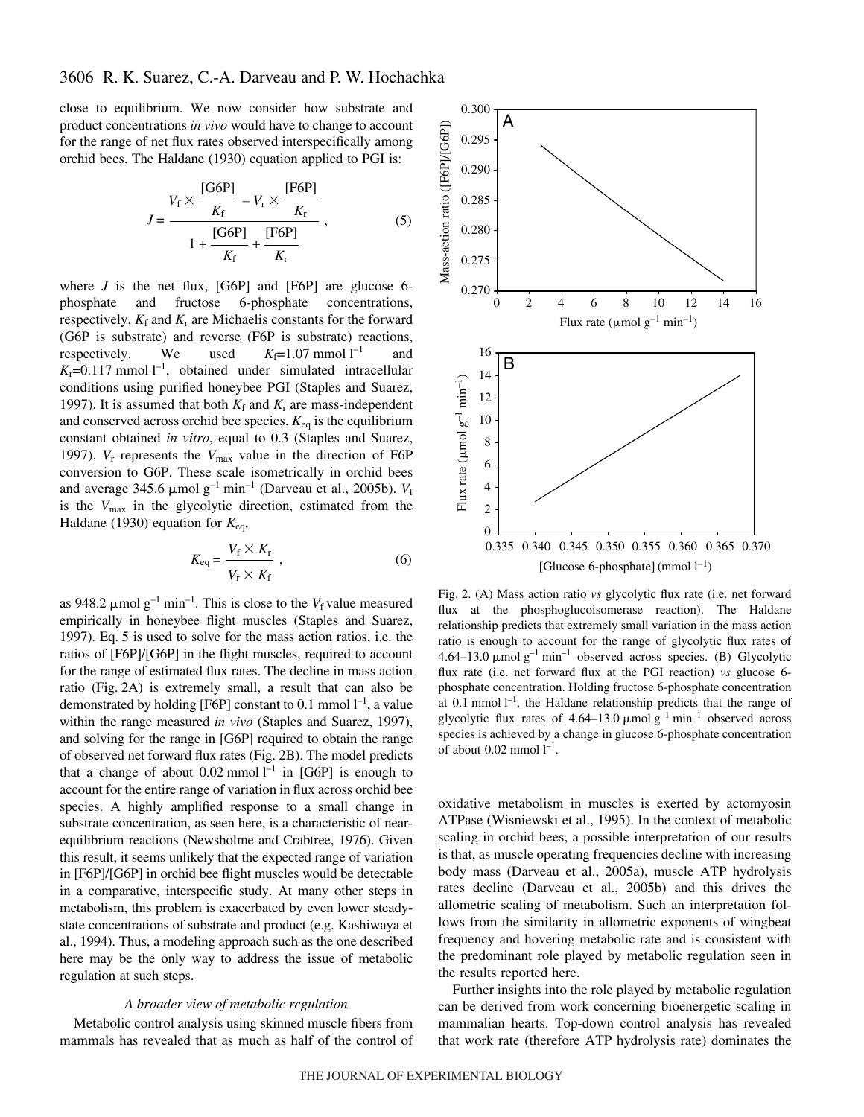# 3606 R. K. Suarez, C.-A. Darveau and P. W. Hochachka

close to equilibrium. We now consider how substrate and product concentrations *in vivo* would have to change to account for the range of net flux rates observed interspecifically among orchid bees. The Haldane (1930) equation applied to PGI is:

$$
J = \frac{V_{\rm f} \times \frac{[\rm G6P]}{K_{\rm f}} - V_{\rm r} \times \frac{[\rm F6P]}{K_{\rm r}}}{1 + \frac{[\rm G6P]}{K_{\rm f}} + \frac{[\rm F6P]}{K_{\rm r}}},
$$
(5)

where  $J$  is the net flux,  $[G6P]$  and  $[F6P]$  are glucose 6phosphate and fructose 6-phosphate concentrations, respectively,  $K_f$  and  $K_r$  are Michaelis constants for the forward (G6P is substrate) and reverse (F6P is substrate) reactions, respectively. We used  $K_f=1.07$  mmol  $l^{-1}$ and  $K_r$ =0.117 mmol  $l^{-1}$ , obtained under simulated intracellular conditions using purified honeybee PGI (Staples and Suarez, 1997). It is assumed that both  $K_f$  and  $K_r$  are mass-independent and conserved across orchid bee species.  $K_{eq}$  is the equilibrium constant obtained *in vitro*, equal to 0.3 (Staples and Suarez, 1997). *V*<sup>r</sup> represents the *V*max value in the direction of F6P conversion to G6P. These scale isometrically in orchid bees and average 345.6  $\mu$ mol g<sup>-1</sup> min<sup>-1</sup> (Darveau et al., 2005b). *V*<sub>f</sub> is the *V*max in the glycolytic direction, estimated from the Haldane (1930) equation for *K*eq,

$$
K_{\text{eq}} = \frac{V_{\text{f}} \times K_{\text{r}}}{V_{\text{r}} \times K_{\text{f}}},\tag{6}
$$

as 948.2  $\mu$ mol g<sup>-1</sup> min<sup>-1</sup>. This is close to the *V<sub>f</sub>* value measured empirically in honeybee flight muscles (Staples and Suarez, 1997). Eq. 5 is used to solve for the mass action ratios, i.e. the ratios of [F6P]/[G6P] in the flight muscles, required to account for the range of estimated flux rates. The decline in mass action ratio (Fig. 2A) is extremely small, a result that can also be demonstrated by holding [F6P] constant to 0.1 mmol  $l^{-1}$ , a value within the range measured *in vivo* (Staples and Suarez, 1997), and solving for the range in [G6P] required to obtain the range of observed net forward flux rates (Fig. 2B). The model predicts that a change of about  $0.02$  mmol  $l^{-1}$  in [G6P] is enough to account for the entire range of variation in flux across orchid bee species. A highly amplified response to a small change in substrate concentration, as seen here, is a characteristic of nearequilibrium reactions (Newsholme and Crabtree, 1976). Given this result, it seems unlikely that the expected range of variation in [F6P]/[G6P] in orchid bee flight muscles would be detectable in a comparative, interspecific study. At many other steps in metabolism, this problem is exacerbated by even lower steadystate concentrations of substrate and product (e.g. Kashiwaya et al., 1994). Thus, a modeling approach such as the one described here may be the only way to address the issue of metabolic regulation at such steps.

## *A broader view of metabolic regulation*

Metabolic control analysis using skinned muscle fibers from mammals has revealed that as much as half of the control of



Fig. 2. (A) Mass action ratio *vs* glycolytic flux rate (i.e. net forward flux at the phosphoglucoisomerase reaction). The Haldane relationship predicts that extremely small variation in the mass action ratio is enough to account for the range of glycolytic flux rates of 4.64–13.0  $\mu$ mol g<sup>-1</sup> min<sup>-1</sup> observed across species. (B) Glycolytic flux rate (i.e. net forward flux at the PGI reaction) *vs* glucose 6 phosphate concentration. Holding fructose 6-phosphate concentration at 0.1 mmol  $l^{-1}$ , the Haldane relationship predicts that the range of glycolytic flux rates of  $4.64-13.0 \mu$ mol g<sup>-1</sup> min<sup>-1</sup> observed across species is achieved by a change in glucose 6-phosphate concentration of about  $0.02 \text{ mmol } l^{-1}$ .

oxidative metabolism in muscles is exerted by actomyosin ATPase (Wisniewski et al., 1995). In the context of metabolic scaling in orchid bees, a possible interpretation of our results is that, as muscle operating frequencies decline with increasing body mass (Darveau et al., 2005a), muscle ATP hydrolysis rates decline (Darveau et al., 2005b) and this drives the allometric scaling of metabolism. Such an interpretation follows from the similarity in allometric exponents of wingbeat frequency and hovering metabolic rate and is consistent with the predominant role played by metabolic regulation seen in the results reported here.

Further insights into the role played by metabolic regulation can be derived from work concerning bioenergetic scaling in mammalian hearts. Top-down control analysis has revealed that work rate (therefore ATP hydrolysis rate) dominates the